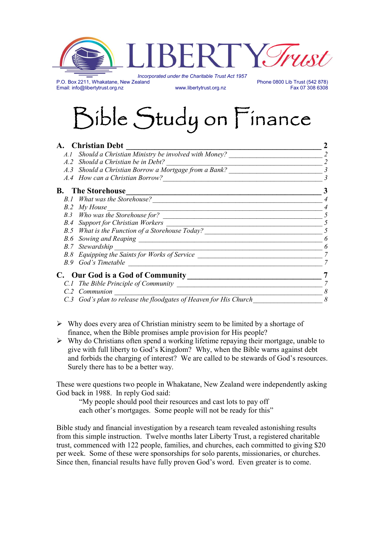

P.O. Box 2211, Whakatane, New Zealand Phone 0800 Lib Trust (542 878)<br>Email: info@libertytrust.org.nz Fax 07 308 6308 Email: info@libertytrust.org.nz

# Bible Study on Finance

| A. Christian Debt                                                 |   |
|-------------------------------------------------------------------|---|
| A.1 Should a Christian Ministry be involved with Money?           |   |
| A.2 Should a Christian be in Debt?                                |   |
| A.3 Should a Christian Borrow a Mortgage from a Bank?             |   |
| A.4 How can a Christian Borrow?                                   |   |
| <b>B.</b> The Storehouse                                          |   |
| B.1 What was the Storehouse?                                      |   |
| B.2 My House                                                      |   |
|                                                                   |   |
| <b>B.4</b> Support for Christian Workers                          |   |
| B.5 What is the Function of a Storehouse Today?                   |   |
|                                                                   |   |
| <b>B.7</b> Stewardship                                            |   |
| B.8 Equipping the Saints for Works of Service                     |   |
| B.9 God's Timetable                                               |   |
| C. Our God is a God of Community                                  |   |
| C.1 The Bible Principle of Community                              |   |
| C.2 Communion                                                     |   |
| C.3 God's plan to release the floodgates of Heaven for His Church | 8 |

- $\triangleright$  Why does every area of Christian ministry seem to be limited by a shortage of finance, when the Bible promises ample provision for His people?
- $\triangleright$  Why do Christians often spend a working lifetime repaying their mortgage, unable to give with full liberty to God's Kingdom? Why, when the Bible warns against debt and forbids the charging of interest? We are called to be stewards of God's resources. Surely there has to be a better way.

These were questions two people in Whakatane, New Zealand were independently asking God back in 1988. In reply God said:

"My people should pool their resources and cast lots to pay off each other's mortgages. Some people will not be ready for this"

Bible study and financial investigation by a research team revealed astonishing results from this simple instruction. Twelve months later Liberty Trust, a registered charitable trust, commenced with 122 people, families, and churches, each committed to giving \$20 per week. Some of these were sponsorships for solo parents, missionaries, or churches. Since then, financial results have fully proven God's word. Even greater is to come.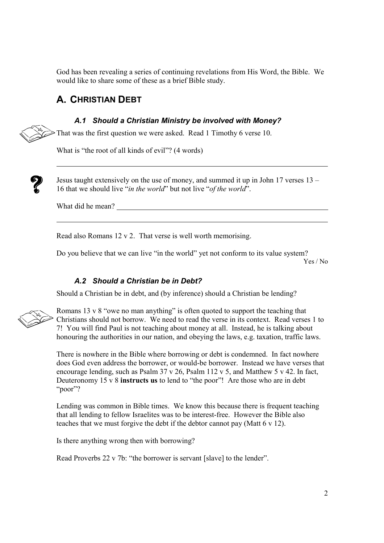God has been revealing a series of continuing revelations from His Word, the Bible. We would like to share some of these as a brief Bible study.

# A. CHRISTIAN DEBT

#### A.1 Should a Christian Ministry be involved with Money?

 $\triangleright$  That was the first question we were asked. Read 1 Timothy 6 verse 10.

What is "the root of all kinds of evil"? (4 words)



Jesus taught extensively on the use of money, and summed it up in John 17 verses 13 – 16 that we should live "in the world" but not live "of the world".

What did he mean?

Read also Romans 12 v 2. That verse is well worth memorising.

Do you believe that we can live "in the world" yet not conform to its value system? Yes / No

#### A.2 Should a Christian be in Debt?

Should a Christian be in debt, and (by inference) should a Christian be lending?



Romans 13 v 8 "owe no man anything" is often quoted to support the teaching that Christians should not borrow. We need to read the verse in its context. Read verses 1 to 7! You will find Paul is not teaching about money at all. Instead, he is talking about honouring the authorities in our nation, and obeying the laws, e.g. taxation, traffic laws.

There is nowhere in the Bible where borrowing or debt is condemned. In fact nowhere does God even address the borrower, or would-be borrower. Instead we have verses that encourage lending, such as Psalm 37 v 26, Psalm 112 v 5, and Matthew 5 v 42. In fact, Deuteronomy 15 v 8 **instructs us** to lend to "the poor"! Are those who are in debt "poor"?

Lending was common in Bible times. We know this because there is frequent teaching that all lending to fellow Israelites was to be interest-free. However the Bible also teaches that we must forgive the debt if the debtor cannot pay (Matt 6 v 12).

Is there anything wrong then with borrowing?

Read Proverbs 22 v 7b: "the borrower is servant [slave] to the lender".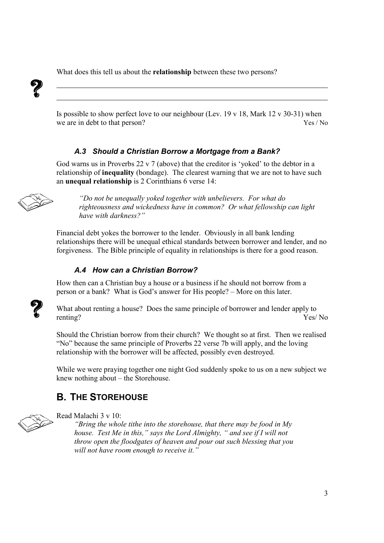What does this tell us about the **relationship** between these two persons?



Is possible to show perfect love to our neighbour (Lev. 19 v 18, Mark 12 v 30-31) when we are in debt to that person? Yes / No

## A.3 Should a Christian Borrow a Mortgage from a Bank?

God warns us in Proverbs 22 v 7 (above) that the creditor is 'yoked' to the debtor in a relationship of inequality (bondage). The clearest warning that we are not to have such an unequal relationship is 2 Corinthians 6 verse 14:



"Do not be unequally yoked together with unbelievers. For what do righteousness and wickedness have in common? Or what fellowship can light have with darkness?"

Financial debt yokes the borrower to the lender. Obviously in all bank lending relationships there will be unequal ethical standards between borrower and lender, and no forgiveness. The Bible principle of equality in relationships is there for a good reason.

# A.4 How can a Christian Borrow?

How then can a Christian buy a house or a business if he should not borrow from a person or a bank? What is God's answer for His people? – More on this later.



What about renting a house? Does the same principle of borrower and lender apply to renting? Yes/ No

Should the Christian borrow from their church? We thought so at first. Then we realised "No" because the same principle of Proverbs 22 verse 7b will apply, and the loving relationship with the borrower will be affected, possibly even destroyed.

While we were praying together one night God suddenly spoke to us on a new subject we knew nothing about – the Storehouse.

# B. THE STOREHOUSE



Read Malachi 3 v 10:

"Bring the whole tithe into the storehouse, that there may be food in  $My$ house. Test Me in this," says the Lord Almighty, " and see if I will not throw open the floodgates of heaven and pour out such blessing that you will not have room enough to receive it."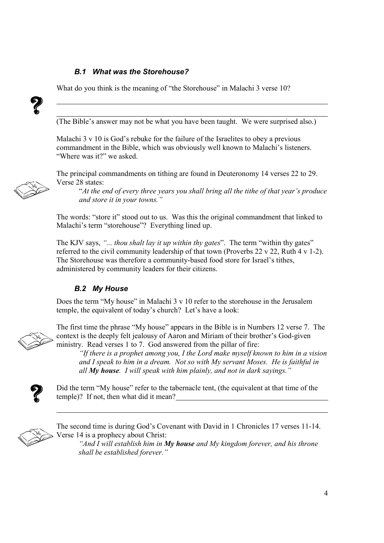#### B.1 What was the Storehouse?

What do you think is the meaning of "the Storehouse" in Malachi 3 verse 10?



(The Bible's answer may not be what you have been taught. We were surprised also.)

Malachi 3 v 10 is God's rebuke for the failure of the Israelites to obey a previous commandment in the Bible, which was obviously well known to Malachi's listeners. "Where was it?" we asked.

The principal commandments on tithing are found in Deuteronomy 14 verses 22 to 29. Verse 28 states:

"At the end of every three years you shall bring all the tithe of that year's produce and store it in your towns."

The words: "store it" stood out to us. Was this the original commandment that linked to Malachi's term "storehouse"? Everything lined up.

The KJV says, "... thou shalt lay it up within thy gates". The term "within thy gates" referred to the civil community leadership of that town (Proverbs 22 v 22, Ruth 4 v 1-2). The Storehouse was therefore a community-based food store for Israel's tithes, administered by community leaders for their citizens.

#### B.2 My House

Does the term "My house" in Malachi 3 v 10 refer to the storehouse in the Jerusalem temple, the equivalent of today's church? Let's have a look:



The first time the phrase "My house" appears in the Bible is in Numbers 12 verse 7. The context is the deeply felt jealousy of Aaron and Miriam of their brother's God-given ministry. Read verses 1 to 7. God answered from the pillar of fire:

"If there is a prophet among you, I the Lord make myself known to him in a vision and I speak to him in a dream. Not so with My servant Moses. He is faithful in all  $My$  house. I will speak with him plainly, and not in dark sayings."



Did the term "My house" refer to the tabernacle tent, (the equivalent at that time of the temple)? If not, then what did it mean?



The second time is during God's Covenant with David in 1 Chronicles 17 verses 11-14. Verse 14 is a prophecy about Christ:

"And I will establish him in My house and My kingdom forever, and his throne shall be established forever."

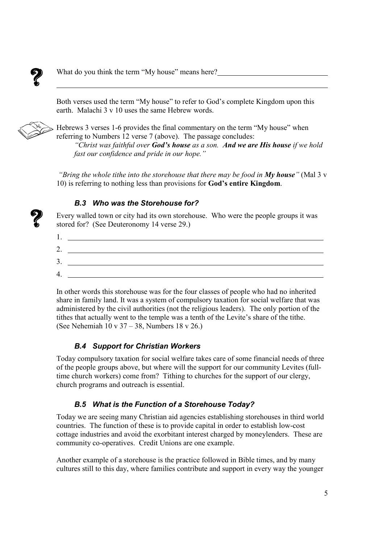

What do you think the term "My house" means here?

Both verses used the term "My house" to refer to God's complete Kingdom upon this earth. Malachi 3 v 10 uses the same Hebrew words.



Hebrews 3 verses 1-6 provides the final commentary on the term "My house" when referring to Numbers 12 verse 7 (above). The passage concludes:

"Christ was faithful over God's house as a son. And we are His house if we hold fast our confidence and pride in our hope."

"Bring the whole tithe into the storehouse that there may be food in  $My$  house" (Mal 3 v 10) is referring to nothing less than provisions for God's entire Kingdom.

#### B.3 Who was the Storehouse for?

Every walled town or city had its own storehouse. Who were the people groups it was stored for? (See Deuteronomy 14 verse 29.)



In other words this storehouse was for the four classes of people who had no inherited share in family land. It was a system of compulsory taxation for social welfare that was administered by the civil authorities (not the religious leaders). The only portion of the tithes that actually went to the temple was a tenth of the Levite's share of the tithe. (See Nehemiah 10 v 37 – 38, Numbers 18 v 26.)

## B.4 Support for Christian Workers

Today compulsory taxation for social welfare takes care of some financial needs of three of the people groups above, but where will the support for our community Levites (fulltime church workers) come from? Tithing to churches for the support of our clergy, church programs and outreach is essential.

## B.5 What is the Function of a Storehouse Today?

Today we are seeing many Christian aid agencies establishing storehouses in third world countries. The function of these is to provide capital in order to establish low-cost cottage industries and avoid the exorbitant interest charged by moneylenders. These are community co-operatives. Credit Unions are one example.

Another example of a storehouse is the practice followed in Bible times, and by many cultures still to this day, where families contribute and support in every way the younger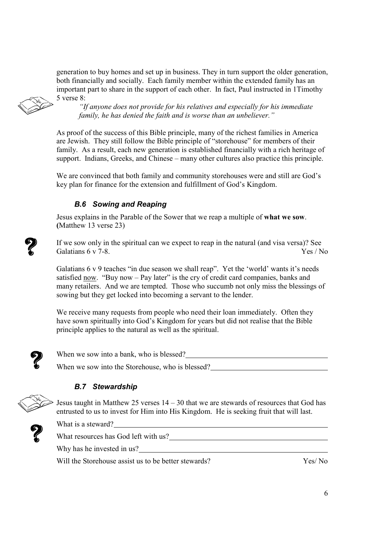generation to buy homes and set up in business. They in turn support the older generation, both financially and socially. Each family member within the extended family has an important part to share in the support of each other. In fact, Paul instructed in 1Timothy 5 verse 8:

"If anyone does not provide for his relatives and especially for his immediate family, he has denied the faith and is worse than an unbeliever."

As proof of the success of this Bible principle, many of the richest families in America are Jewish. They still follow the Bible principle of "storehouse" for members of their family. As a result, each new generation is established financially with a rich heritage of support. Indians, Greeks, and Chinese – many other cultures also practice this principle.

We are convinced that both family and community storehouses were and still are God's key plan for finance for the extension and fulfillment of God's Kingdom.

# B.6 Sowing and Reaping

Jesus explains in the Parable of the Sower that we reap a multiple of what we sow. (Matthew 13 verse 23)

If we sow only in the spiritual can we expect to reap in the natural (and visa versa)? See Galatians  $6 \times 7 - 8$  Yes / No.

Galatians 6 v 9 teaches "in due season we shall reap". Yet the 'world' wants it's needs satisfied now. "Buy now – Pay later" is the cry of credit card companies, banks and many retailers. And we are tempted. Those who succumb not only miss the blessings of sowing but they get locked into becoming a servant to the lender.

We receive many requests from people who need their loan immediately. Often they have sown spiritually into God's Kingdom for years but did not realise that the Bible principle applies to the natural as well as the spiritual.



When we sow into a bank, who is blessed? When we sow into the Storehouse, who is blessed?

# B.7 Stewardship

Jesus taught in Matthew 25 verses  $14 - 30$  that we are stewards of resources that God has entrusted to us to invest for Him into His Kingdom. He is seeking fruit that will last.



What is a steward?

What resources has God left with us?

Why has he invested in us?

Will the Storehouse assist us to be better stewards? Yes/ No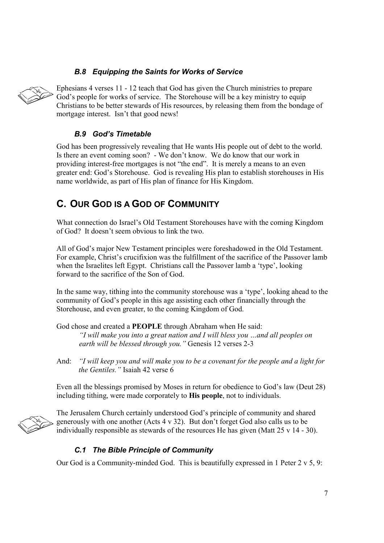## B.8 Equipping the Saints for Works of Service



Ephesians 4 verses 11 - 12 teach that God has given the Church ministries to prepare God's people for works of service. The Storehouse will be a key ministry to equip Christians to be better stewards of His resources, by releasing them from the bondage of mortgage interest. Isn't that good news!

#### B.9 God's Timetable

God has been progressively revealing that He wants His people out of debt to the world. Is there an event coming soon? - We don't know. We do know that our work in providing interest-free mortgages is not "the end". It is merely a means to an even greater end: God's Storehouse. God is revealing His plan to establish storehouses in His name worldwide, as part of His plan of finance for His Kingdom.

# C. OUR GOD IS A GOD OF COMMUNITY

What connection do Israel's Old Testament Storehouses have with the coming Kingdom of God? It doesn't seem obvious to link the two.

All of God's major New Testament principles were foreshadowed in the Old Testament. For example, Christ's crucifixion was the fulfillment of the sacrifice of the Passover lamb when the Israelites left Egypt. Christians call the Passover lamb a 'type', looking forward to the sacrifice of the Son of God.

In the same way, tithing into the community storehouse was a 'type', looking ahead to the community of God's people in this age assisting each other financially through the Storehouse, and even greater, to the coming Kingdom of God.

God chose and created a PEOPLE through Abraham when He said: "I will make you into a great nation and I will bless you …and all peoples on earth will be blessed through you." Genesis 12 verses 2-3

And: "I will keep you and will make you to be a covenant for the people and a light for the Gentiles." Isaiah 42 verse 6

Even all the blessings promised by Moses in return for obedience to God's law (Deut 28) including tithing, were made corporately to His people, not to individuals.

The Jerusalem Church certainly understood God's principle of community and shared generously with one another (Acts 4 v 32). But don't forget God also calls us to be individually responsible as stewards of the resources He has given (Matt 25 v 14 - 30).

## C.1 The Bible Principle of Community

Our God is a Community-minded God. This is beautifully expressed in 1 Peter  $2 \times 5$ , 9: